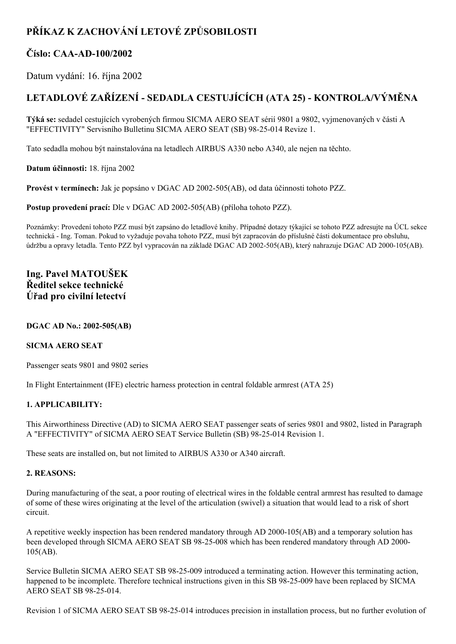# **PŘÍKAZ K ZACHOVÁNÍ LETOVÉ ZPŮSOBILOSTI**

### **Číslo: CAAAD100/2002**

Datum vydání: 16. října 2002

## **LETADLOVÉ ZAŘÍZENÍ SEDADLA CESTUJÍCÍCH (ATA 25) KONTROLA/VÝMĚNA**

**Týká se:** sedadel cestujících vyrobených firmou SICMA AERO SEAT sérií 9801 a 9802, vyjmenovaných v části A "EFFECTIVITY" Servisního Bulletinu SICMA AERO SEAT (SB) 98-25-014 Revize 1.

Tato sedadla mohou být nainstalována na letadlech AIRBUS A330 nebo A340, ale nejen na těchto.

**Datum účinnosti:** 18. října 2002

**Provést v termínech:** Jak je popsáno v DGAC AD 2002-505(AB), od data účinnosti tohoto PZZ.

**Postup provedení prací:** Dle v DGAC AD 2002-505(AB) (příloha tohoto PZZ).

Poznámky: Provedení tohoto PZZ musí být zapsáno do letadlové knihy. Případné dotazy týkající se tohoto PZZ adresujte na ÚCL sekce technická Ing. Toman. Pokud to vyžaduje povaha tohoto PZZ, musí být zapracován do příslušné části dokumentace pro obsluhu, údržbu a opravy letadla. Tento PZZ byl vypracován na základě DGAC AD 2002-505(AB), který nahrazuje DGAC AD 2000-105(AB).

### **Ing. Pavel MATOUŠEK Ředitel sekce technické Úřad pro civilní letectví**

#### **DGAC AD No.: 2002505(AB)**

#### **SICMA AERO SEAT**

Passenger seats 9801 and 9802 series

In Flight Entertainment (IFE) electric harness protection in central foldable armrest (ATA 25)

#### **1. APPLICABILITY:**

This Airworthiness Directive (AD) to SICMA AERO SEAT passenger seats of series 9801 and 9802, listed in Paragraph A "EFFECTIVITY" of SICMA AERO SEAT Service Bulletin (SB) 9825014 Revision 1.

These seats are installed on, but not limited to AIRBUS A330 or A340 aircraft.

#### **2. REASONS:**

During manufacturing of the seat, a poor routing of electrical wires in the foldable central armrest has resulted to damage of some of these wires originating at the level of the articulation (swivel) a situation that would lead to a risk of short circuit.

A repetitive weekly inspection has been rendered mandatory through AD 2000-105(AB) and a temporary solution has been developed through SICMA AERO SEAT SB 98-25-008 which has been rendered mandatory through AD 2000-105(AB).

Service Bulletin SICMA AERO SEAT SB 98-25-009 introduced a terminating action. However this terminating action, happened to be incomplete. Therefore technical instructions given in this SB 98-25-009 have been replaced by SICMA AERO SEAT SB 98-25-014.

Revision 1 of SICMA AERO SEAT SB 98-25-014 introduces precision in installation process, but no further evolution of